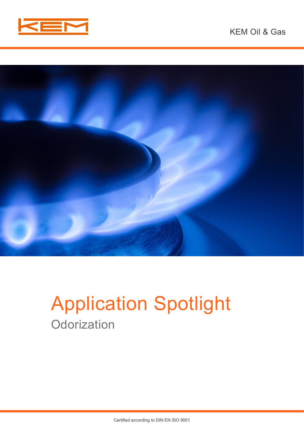



# Application Spotlight **Odorization**